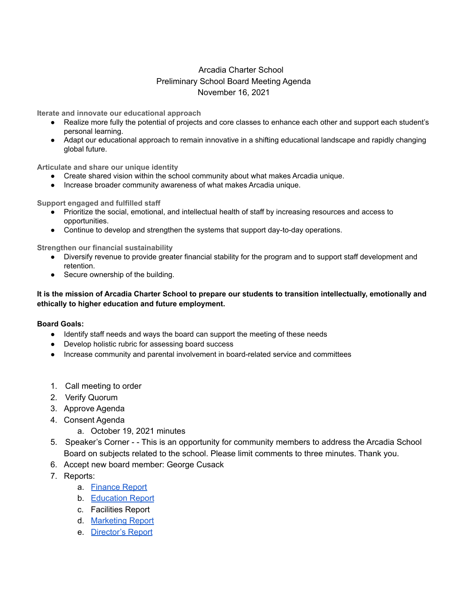## Arcadia Charter School Preliminary School Board Meeting Agenda November 16, 2021

**Iterate and innovate our educational approach**

- Realize more fully the potential of projects and core classes to enhance each other and support each student's personal learning.
- Adapt our educational approach to remain innovative in a shifting educational landscape and rapidly changing global future.

**Articulate and share our unique identity**

- Create shared vision within the school community about what makes Arcadia unique.
- Increase broader community awareness of what makes Arcadia unique.

**Support engaged and fulfilled staff**

- Prioritize the social, emotional, and intellectual health of staff by increasing resources and access to opportunities.
- Continue to develop and strengthen the systems that support day-to-day operations.

**Strengthen our financial sustainability**

- Diversify revenue to provide greater financial stability for the program and to support staff development and retention.
- Secure ownership of the building.

## It is the mission of Arcadia Charter School to prepare our students to transition intellectually, emotionally and **ethically to higher education and future employment.**

## **Board Goals:**

- Identify staff needs and ways the board can support the meeting of these needs
- Develop holistic rubric for assessing board success
- Increase community and parental involvement in board-related service and committees
- 1. Call meeting to order
- 2. Verify Quorum
- 3. Approve Agenda
- 4. Consent Agenda
	- a. October 19, 2021 minutes
- 5. Speaker's Corner - This is an opportunity for community members to address the Arcadia School Board on subjects related to the school. Please limit comments to three minutes. Thank you.
- 6. Accept new board member: George Cusack
- 7. Reports:
	- a. [Finance](https://docs.google.com/document/d/1WgZJRBAwXKag-W1NH4URs0HDN7ies5OTO4kmQbZ4BeA/edit?usp=sharing) Report
	- b. [Education](https://docs.google.com/document/d/13Ap8L6O9Gf9K0aWiVdRqEdiTDxv3ueesdUEBDTXAZ7Y/edit?usp=sharing) Report
	- c. Facilities Report
	- d. [Marketing](https://docs.google.com/document/d/1cU_KS06PRRIYZToxbUqqT2nimj6QhmLIy7G0I1D0auE/edit?usp=sharing) Report
	- e. [Director's](https://docs.google.com/document/d/1GQu-gN7eCeiej2l0c_vi5A86NcOfAVXRaJ7NUqb8CmA/edit?usp=sharing) Report